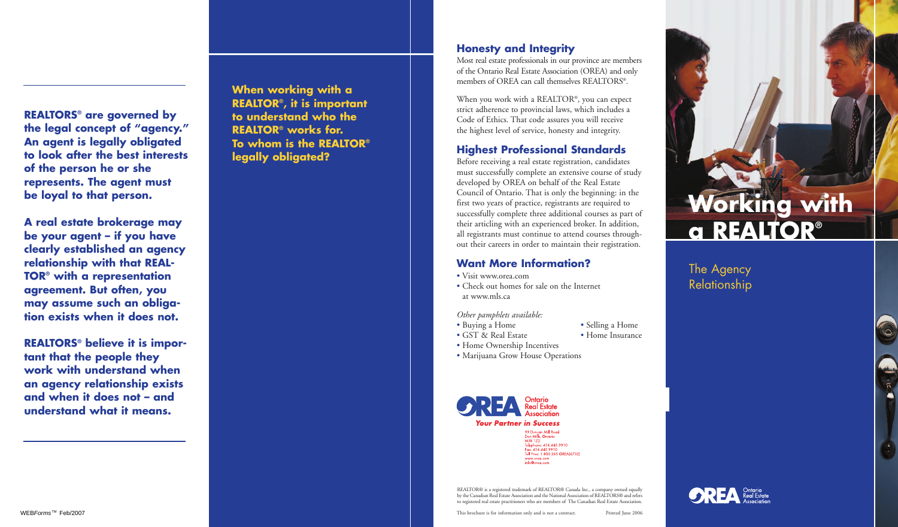**REALTORS® are governed by the legal concept of "agency." An agent is legally obligated to look after the best interests of the person he or she represents. The agent must be loyal to that person.** 

**A real estate brokerage may be your agent – if you have clearly established an agency relationship with that REAL-TOR® with a representation agreement. But often, you may assume such an obligation exists when it does not.**

**REALTORS® believe it is important that the people they work with understand when an agency relationship exists and when it does not – and understand what it means.**

**When working with a REALTOR®, it is important to understand who the REALTOR® works for. To whom is the REALTOR® legally obligated?**

#### **Honesty and Integrity**

Most real estate professionals in our province are members of the Ontario Real Estate Association (OREA) and only members of OREA can call themselves REALTORS®.

When you work with a REALTOR®, you can expect strict adherence to provincial laws, which includes a Code of Ethics. That code assures you will receive the highest level of service, honesty and integrity.

### **Highest Professional Standards**

Before receiving a real estate registration, candidates must successfully complete an extensive course of study developed by OREA on behalf of the Real Estate Council of Ontario. That is only the beginning: in the first two years of practice, registrants are required to successfully complete three additional courses as part of their articling with an experienced broker. In addition, all registrants must continue to attend courses throughout their careers in order to maintain their registration.

### **Want More Information?**

- Visit www.orea.com
- Check out homes for sale on the Internet at www.mls.ca

*Other pamphlets available:*

- Buying a Home Selling a Home
- GST & Real Estate Home Insurance
- Home Ownership Incentives
- Marijuana Grow House Operations



REALTOR® is a registered trademark of REALTOR® Canada Inc., a company owned equally by the Canadian Real Estate Association and the National Association of REALTORS® and refers to registered real estate practitioners who are members of The Canadian Real Estate Association.



**Working with**

**a REALTOR®**

The Agency Relationship